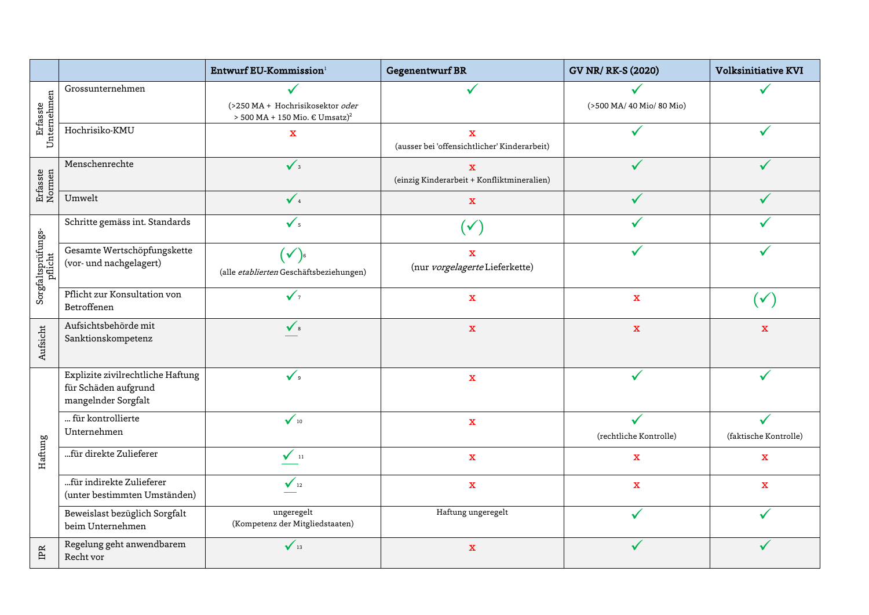|                               |                                                                                  | Entwurf EU-Kommission <sup>1</sup>                                                 | Gegenentwurf BR                                                         | <b>GV NR/ RK-S (2020)</b> | <b>Volksinitiative KVI</b> |
|-------------------------------|----------------------------------------------------------------------------------|------------------------------------------------------------------------------------|-------------------------------------------------------------------------|---------------------------|----------------------------|
| Erfasste<br>Unternehmen       | Grossunternehmen                                                                 | (>250 MA + Hochrisikosektor oder<br>> 500 MA + 150 Mio. $\in$ Umsatz) <sup>2</sup> |                                                                         | (>500 MA/ 40 Mio/ 80 Mio) |                            |
|                               | Hochrisiko-KMU                                                                   | $\bar{\mathbf{X}}$                                                                 | $\overline{\mathbf{X}}$<br>(ausser bei 'offensichtlicher' Kinderarbeit) |                           |                            |
| Erfasste<br>Normen            | Menschenrechte                                                                   | $\sqrt{3}$                                                                         | $\overline{\mathbf{X}}$<br>(einzig Kinderarbeit + Konfliktmineralien)   |                           |                            |
|                               | Umwelt                                                                           | $\sqrt{4}$                                                                         | $\mathbf{x}$                                                            |                           |                            |
| Sorgfaltsprüfungs-<br>pflicht | Schritte gemäss int. Standards                                                   | $\checkmark$                                                                       | $\checkmark$                                                            |                           |                            |
|                               | Gesamte Wertschöpfungskette<br>(vor- und nachgelagert)                           | $(\checkmark)$<br>(alle etablierten Geschäftsbeziehungen)                          | $\mathbf{x}$<br>(nur vorgelagerte Lieferkette)                          |                           |                            |
|                               | Pflicht zur Konsultation von<br>Betroffenen                                      | $\checkmark$                                                                       | $\mathbf X$                                                             | $\mathbf X$               | $\checkmark$               |
| Aufsicht                      | Aufsichtsbehörde mit<br>Sanktionskompetenz                                       | $\checkmark$ s                                                                     | $\mathbf{x}$                                                            | $\mathbf x$               | $\mathbf{x}$               |
| Haftung                       | Explizite zivilrechtliche Haftung<br>für Schäden aufgrund<br>mangelnder Sorgfalt | $\checkmark$                                                                       | $\mathbf X$                                                             | ✓                         |                            |
|                               | für kontrollierte<br>Unternehmen                                                 | $\checkmark$ <sub>10</sub>                                                         | $\mathbf X$                                                             | (rechtliche Kontrolle)    | (faktische Kontrolle)      |
|                               | für direkte Zulieferer                                                           | $\sqrt{11}$                                                                        | $\mathbf{x}$                                                            | $\mathbf X$               | $\mathbf X$                |
|                               | für indirekte Zulieferer<br>(unter bestimmten Umständen)                         | $\sqrt{12}$                                                                        | $\mathbf x$                                                             | $\mathbf x$               | $\overline{\mathbf{x}}$    |
|                               | Beweislast bezüglich Sorgfalt<br>beim Unternehmen                                | ungeregelt<br>(Kompetenz der Mitgliedstaaten)                                      | Haftung ungeregelt                                                      |                           |                            |
| IPR                           | Regelung geht anwendbarem<br>Recht vor                                           | $\sqrt{13}$                                                                        | $\mathbf X$                                                             |                           |                            |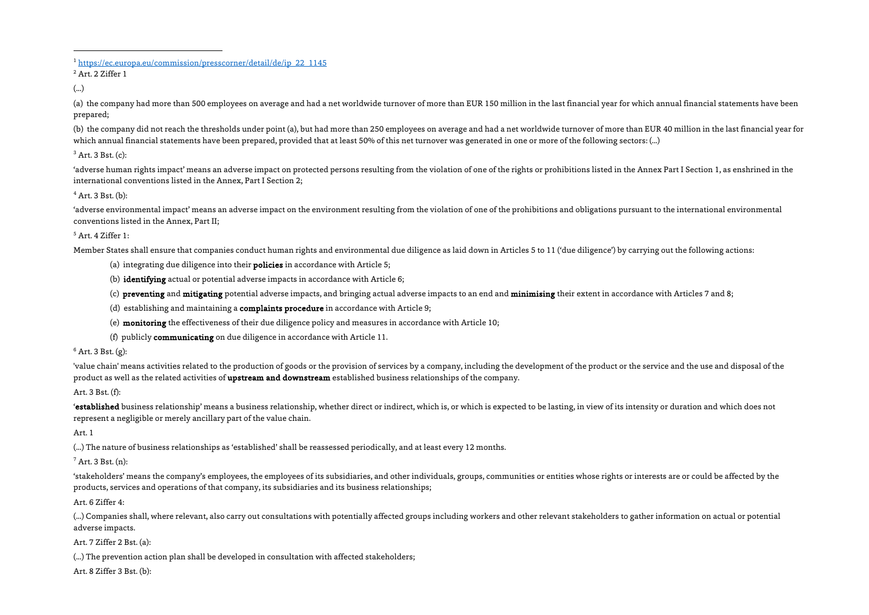<sup>1</sup> https://ec.europa.eu/commission/presscorner/detail/de/ip\_22\_1145

<sup>2</sup> Art. 2 Ziffer 1

(...)

(a) the company had more than 500 employees on average and had a net worldwide turnover of more than EUR 150 million in the last financial year for which annual financial statements have been prepared;

(b) the company did not reach the thresholds under point (a), but had more than 250 employees on average and had a net worldwide turnover of more than EUR 40 million in the last financial year for which annual financial statements have been prepared, provided that at least 50% of this net turnover was generated in one or more of the following sectors: (...)

 $3$  Art. 3 Bst. (c):

'adverse human rights impact' means an adverse impact on protected persons resulting from the violation of one of the rights or prohibitions listed in the Annex Part I Section 1, as enshrined in the international conventions listed in the Annex, Part I Section 2;

# $4$  Art. 3 Bst. (b):

'adverse environmental impact' means an adverse impact on the environment resulting from the violation of one of the prohibitions and obligations pursuant to the international environmental conventions listed in the Annex, Part II;

# $5$  Art. 4 Ziffer 1:

Member States shall ensure that companies conduct human rights and environmental due diligence as laid down in Articles 5 to 11 ('due diligence') by carrying out the following actions:

- (a) integrating due diligence into their policies in accordance with Article 5;
- (b) identifying actual or potential adverse impacts in accordance with Article 6;

(c) preventing and mitigating potential adverse impacts, and bringing actual adverse impacts to an end and minimising their extent in accordance with Articles 7 and 8;

- (d) establishing and maintaining a complaints procedure in accordance with Article 9;
- (e) monitoring the effectiveness of their due diligence policy and measures in accordance with Article 10;
- (f) publicly communicating on due diligence in accordance with Article 11.

# $6$  Art. 3 Bst. (g):

'value chain' means activities related to the production of goods or the provision of services by a company, including the development of the product or the service and the use and disposal of the product as well as the related activities of upstream and downstream established business relationships of the company.

# Art. 3 Bst. (f):

'established business relationship' means a business relationship, whether direct or indirect, which is, or which is expected to be lasting, in view of its intensity or duration and which does not represent a negligible or merely ancillary part of the value chain.

Art. 1

(...) The nature of business relationships as 'established' shall be reassessed periodically, and at least every 12 months.

 $<sup>7</sup>$  Art. 3 Bst. (n):</sup>

'stakeholders' means the company's employees, the employees of its subsidiaries, and other individuals, groups, communities or entities whose rights or interests are or could be affected by the products, services and operations of that company, its subsidiaries and its business relationships;

# Art. 6 Ziffer 4:

(...) Companies shall, where relevant, also carry out consultations with potentially affected groups including workers and other relevant stakeholders to gather information on actual or potential adverse impacts.

# Art. 7 Ziffer 2 Bst. (a):

(...) The prevention action plan shall be developed in consultation with affected stakeholders;

Art. 8 Ziffer 3 Bst. (b):